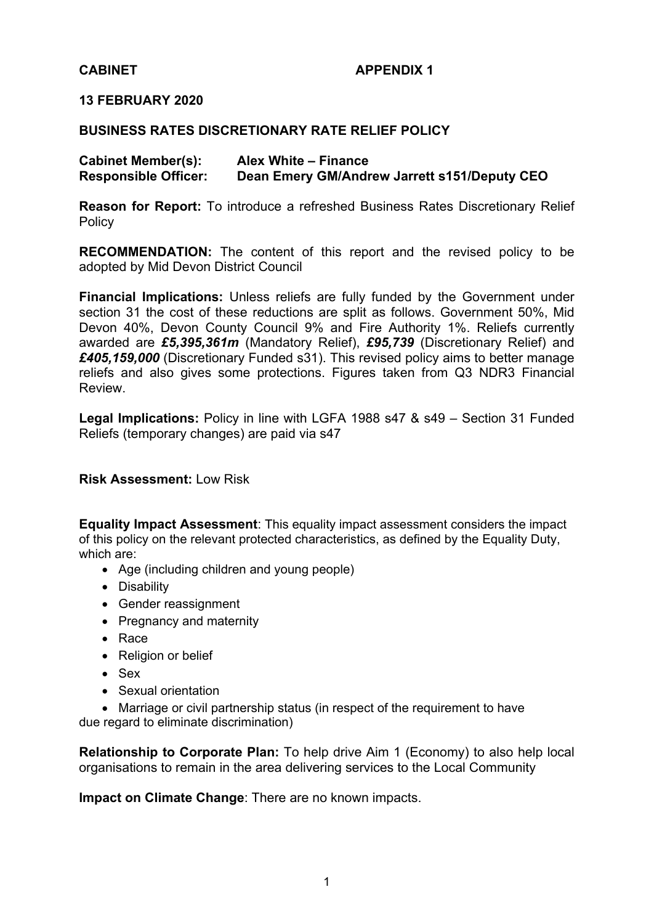# **CABINET APPENDIX 1**

### **13 FEBRUARY 2020**

#### **BUSINESS RATES DISCRETIONARY RATE RELIEF POLICY**

| <b>Cabinet Member(s):</b>   | Alex White - Finance                         |
|-----------------------------|----------------------------------------------|
| <b>Responsible Officer:</b> | Dean Emery GM/Andrew Jarrett s151/Deputy CEO |

**Reason for Report:** To introduce a refreshed Business Rates Discretionary Relief Policy

**RECOMMENDATION:** The content of this report and the revised policy to be adopted by Mid Devon District Council

**Financial Implications:** Unless reliefs are fully funded by the Government under section 31 the cost of these reductions are split as follows. Government 50%, Mid Devon 40%, Devon County Council 9% and Fire Authority 1%. Reliefs currently awarded are *£5,395,361m* (Mandatory Relief), *£95,739* (Discretionary Relief) and *£405,159,000* (Discretionary Funded s31). This revised policy aims to better manage reliefs and also gives some protections. Figures taken from Q3 NDR3 Financial Review.

**Legal Implications:** Policy in line with LGFA 1988 s47 & s49 – Section 31 Funded Reliefs (temporary changes) are paid via s47

**Risk Assessment:** Low Risk

**Equality Impact Assessment**: This equality impact assessment considers the impact of this policy on the relevant protected characteristics, as defined by the Equality Duty, which are:

- Age (including children and young people)
- Disability
- Gender reassignment
- Pregnancy and maternity
- Race
- Religion or belief
- Sex
- Sexual orientation

 Marriage or civil partnership status (in respect of the requirement to have due regard to eliminate discrimination)

**Relationship to Corporate Plan:** To help drive Aim 1 (Economy) to also help local organisations to remain in the area delivering services to the Local Community

**Impact on Climate Change**: There are no known impacts.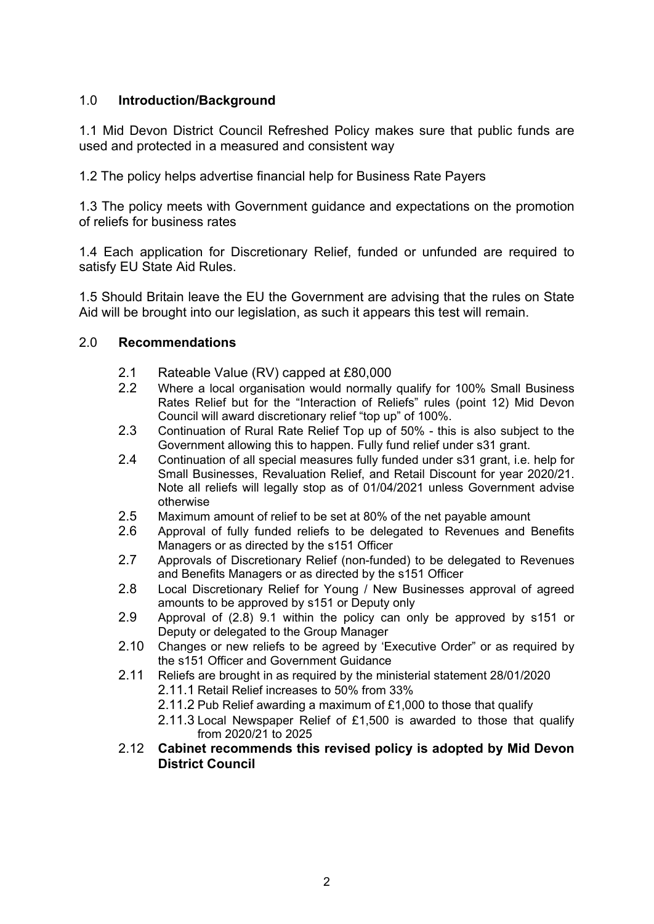# 1.0 **Introduction/Background**

1.1 Mid Devon District Council Refreshed Policy makes sure that public funds are used and protected in a measured and consistent way

1.2 The policy helps advertise financial help for Business Rate Payers

1.3 The policy meets with Government guidance and expectations on the promotion of reliefs for business rates

1.4 Each application for Discretionary Relief, funded or unfunded are required to satisfy EU State Aid Rules.

1.5 Should Britain leave the EU the Government are advising that the rules on State Aid will be brought into our legislation, as such it appears this test will remain.

# 2.0 **Recommendations**

- 2.1 Rateable Value (RV) capped at £80,000
- 2.2 Where a local organisation would normally qualify for 100% Small Business Rates Relief but for the "Interaction of Reliefs" rules (point 12) Mid Devon Council will award discretionary relief "top up" of 100%.
- 2.3 Continuation of Rural Rate Relief Top up of 50% this is also subject to the Government allowing this to happen. Fully fund relief under s31 grant.
- 2.4 Continuation of all special measures fully funded under s31 grant, i.e. help for Small Businesses, Revaluation Relief, and Retail Discount for year 2020/21. Note all reliefs will legally stop as of 01/04/2021 unless Government advise otherwise
- 2.5 Maximum amount of relief to be set at 80% of the net payable amount
- 2.6 Approval of fully funded reliefs to be delegated to Revenues and Benefits Managers or as directed by the s151 Officer
- 2.7 Approvals of Discretionary Relief (non-funded) to be delegated to Revenues and Benefits Managers or as directed by the s151 Officer
- 2.8 Local Discretionary Relief for Young / New Businesses approval of agreed amounts to be approved by s151 or Deputy only
- 2.9 Approval of (2.8) 9.1 within the policy can only be approved by s151 or Deputy or delegated to the Group Manager
- 2.10 Changes or new reliefs to be agreed by 'Executive Order" or as required by the s151 Officer and Government Guidance
- 2.11 Reliefs are brought in as required by the ministerial statement 28/01/2020 2.11.1 Retail Relief increases to 50% from 33%
	- 2.11.2 Pub Relief awarding a maximum of £1,000 to those that qualify
	- 2.11.3 Local Newspaper Relief of £1,500 is awarded to those that qualify from 2020/21 to 2025
- 2.12 **Cabinet recommends this revised policy is adopted by Mid Devon District Council**